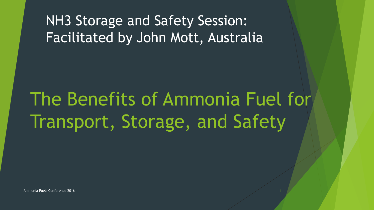#### NH3 Storage and Safety Session: Facilitated by John Mott, Australia

### The Benefits of Ammonia Fuel for Transport, Storage, and Safety

Ammonia Fuels Conference 2016 1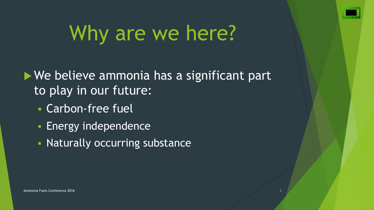

# Why are we here?

▶ We believe ammonia has a significant part to play in our future:

- Carbon-free fuel
- **Energy independence**
- **Naturally occurring substance**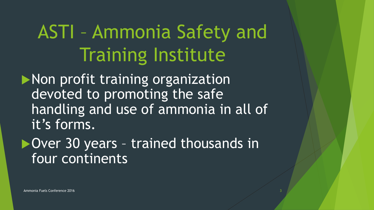### ASTI – Ammonia Safety and Training Institute

**Non profit training organization** devoted to promoting the safe handling and use of ammonia in all of it's forms.

▶ Over 30 years - trained thousands in four continents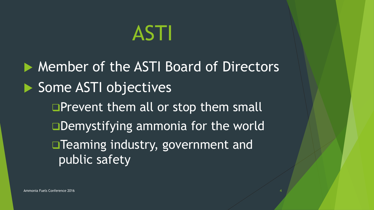## ASTI

▶ Member of the ASTI Board of Directors Some ASTI objectives **OPrevent them all or stop them small** □Demystifying ammonia for the world **Teaming industry, government and** public safety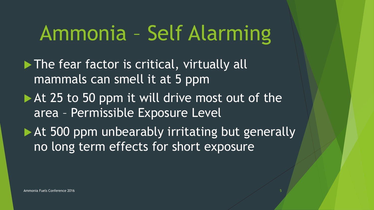## Ammonia – Self Alarming

 $\blacktriangleright$  The fear factor is critical, virtually all mammals can smell it at 5 ppm

- At 25 to 50 ppm it will drive most out of the area – Permissible Exposure Level
- At 500 ppm unbearably irritating but generally no long term effects for short exposure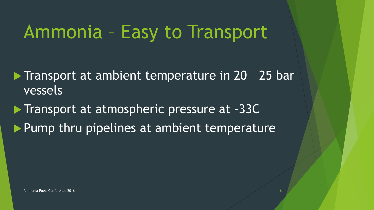#### Ammonia – Easy to Transport

Transport at ambient temperature in 20 - 25 bar vessels

**Transport at atmospheric pressure at -33C**  $\blacktriangleright$  Pump thru pipelines at ambient temperature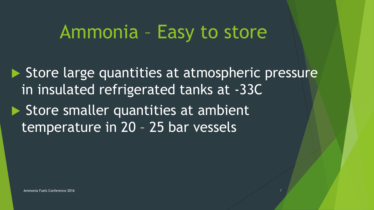#### Ammonia – Easy to store

 $\triangleright$  Store large quantities at atmospheric pressure in insulated refrigerated tanks at -33C Store smaller quantities at ambient temperature in 20 – 25 bar vessels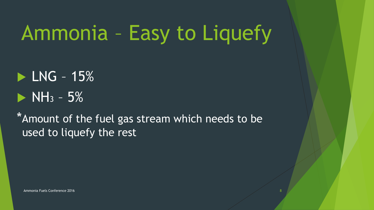# Ammonia – Easy to Liquefy

 $\blacktriangleright$  LNG - 15%  $\triangleright$  NH<sub>3</sub> – 5%

\*Amount of the fuel gas stream which needs to be used to liquefy the rest